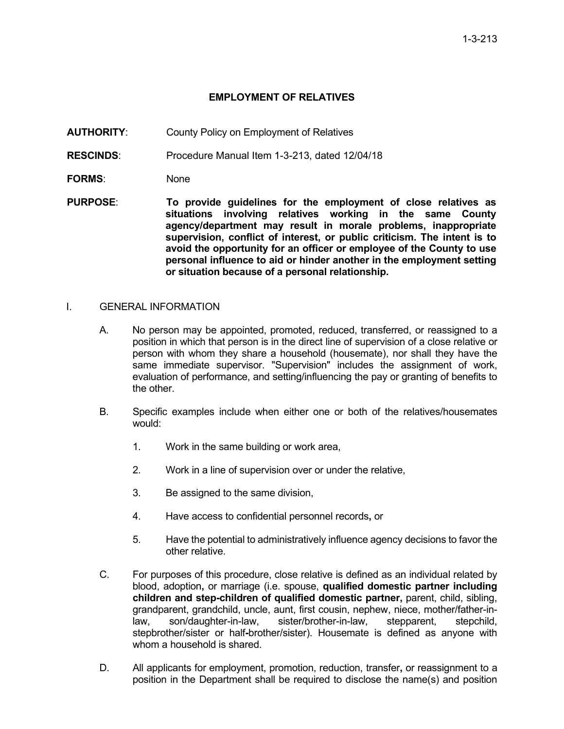## **EMPLOYMENT OF RELATIVES**

- **AUTHORITY**: County Policy on Employment of Relatives
- **RESCINDS**: Procedure Manual Item 1-3-213, dated 12/04/18
- FORMS: None
- **PURPOSE**: **To provide guidelines for the employment of close relatives as situations involving relatives working in the same County agency/department may result in morale problems, inappropriate supervision, conflict of interest, or public criticism. The intent is to avoid the opportunity for an officer or employee of the County to use personal influence to aid or hinder another in the employment setting or situation because of a personal relationship.**

## I. GENERAL INFORMATION

- A. No person may be appointed, promoted, reduced, transferred, or reassigned to a position in which that person is in the direct line of supervision of a close relative or person with whom they share a household (housemate), nor shall they have the same immediate supervisor. "Supervision" includes the assignment of work, evaluation of performance, and setting/influencing the pay or granting of benefits to the other.
- B. Specific examples include when either one or both of the relatives/housemates would:
	- 1. Work in the same building or work area,
	- 2. Work in a line of supervision over or under the relative,
	- 3. Be assigned to the same division,
	- 4. Have access to confidential personnel records**,** or
	- 5. Have the potential to administratively influence agency decisions to favor the other relative.
- C. For purposes of this procedure, close relative is defined as an individual related by blood, adoption**,** or marriage (i.e. spouse, **qualified domestic partner including children and step-children of qualified domestic partner,** parent, child, sibling, grandparent, grandchild, uncle, aunt, first cousin, nephew, niece, mother/father-inlaw, son/daughter-in-law, sister/brother-in-law, stepparent, stepchild, stepbrother/sister or half**-**brother/sister). Housemate is defined as anyone with whom a household is shared.
- D. All applicants for employment, promotion, reduction, transfer**,** or reassignment to a position in the Department shall be required to disclose the name(s) and position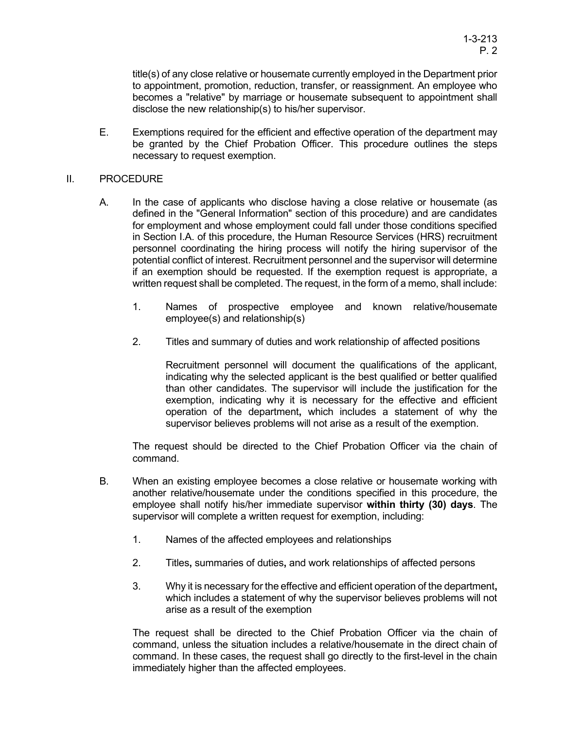title(s) of any close relative or housemate currently employed in the Department prior to appointment, promotion, reduction, transfer, or reassignment. An employee who becomes a "relative" by marriage or housemate subsequent to appointment shall disclose the new relationship(s) to his/her supervisor.

E. Exemptions required for the efficient and effective operation of the department may be granted by the Chief Probation Officer. This procedure outlines the steps necessary to request exemption.

## II. PROCEDURE

- A. In the case of applicants who disclose having a close relative or housemate (as defined in the "General Information" section of this procedure) and are candidates for employment and whose employment could fall under those conditions specified in Section I.A. of this procedure, the Human Resource Services (HRS) recruitment personnel coordinating the hiring process will notify the hiring supervisor of the potential conflict of interest. Recruitment personnel and the supervisor will determine if an exemption should be requested. If the exemption request is appropriate, a written request shall be completed. The request, in the form of a memo, shall include:
	- 1. Names of prospective employee and known relative/housemate employee(s) and relationship(s)
	- 2. Titles and summary of duties and work relationship of affected positions

Recruitment personnel will document the qualifications of the applicant, indicating why the selected applicant is the best qualified or better qualified than other candidates. The supervisor will include the justification for the exemption, indicating why it is necessary for the effective and efficient operation of the department**,** which includes a statement of why the supervisor believes problems will not arise as a result of the exemption.

The request should be directed to the Chief Probation Officer via the chain of command.

- B. When an existing employee becomes a close relative or housemate working with another relative/housemate under the conditions specified in this procedure, the employee shall notify his/her immediate supervisor **within thirty (30) days**. The supervisor will complete a written request for exemption, including:
	- 1. Names of the affected employees and relationships
	- 2. Titles**,** summaries of duties**,** and work relationships of affected persons
	- 3. Why it is necessary for the effective and efficient operation of the department**,**  which includes a statement of why the supervisor believes problems will not arise as a result of the exemption

The request shall be directed to the Chief Probation Officer via the chain of command, unless the situation includes a relative/housemate in the direct chain of command. In these cases, the request shall go directly to the first-level in the chain immediately higher than the affected employees.